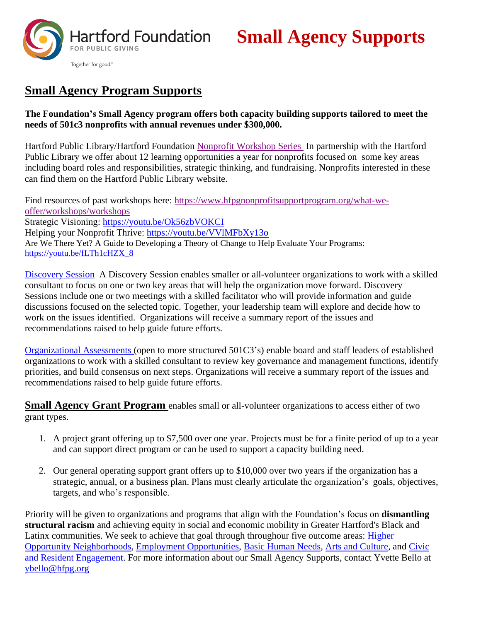

# **Small Agency Supports**

## **Small Agency Program Supports**

#### **The Foundation's Small Agency program offers both capacity building supports tailored to meet the needs of 501c3 nonprofits with annual revenues under \$300,000.**

Hartford Public Library/Hartford Foundation [Nonprofit Workshop Series](https://www.hplct.org/library-services/nonprofits/workshops) In partnership with the Hartford Public Library we offer about 12 learning opportunities a year for nonprofits focused on some key areas including board roles and responsibilities, strategic thinking, and fundraising. Nonprofits interested in these can find them on the Hartford Public Library website.

Find resources of past workshops here: [https://www.hfpgnonprofitsupportprogram.org/what-we](https://www.hfpgnonprofitsupportprogram.org/what-we-offer/workshops/workshops)[offer/workshops/workshops](https://www.hfpgnonprofitsupportprogram.org/what-we-offer/workshops/workshops) Strategic Visioning:<https://youtu.be/Ok56zbVOKCI> Helping your Nonprofit Thrive:<https://youtu.be/VVlMFbXy13o> Are We There Yet? A Guide to Developing a Theory of Change to Help Evaluate Your Programs: [https://youtu.be/fLTh1cHZX\\_8](https://youtu.be/fLTh1cHZX_8)

[Discovery Session](https://www.hfpgnonprofitsupportprogram.org/what-we-offer/organizational-assessment/discovery-sessions) A Discovery Session enables smaller or all-volunteer organizations to work with a skilled consultant to focus on one or two key areas that will help the organization move forward. Discovery Sessions include one or two meetings with a skilled facilitator who will provide information and guide discussions focused on the selected topic. Together, your leadership team will explore and decide how to work on the issues identified. Organizations will receive a summary report of the issues and recommendations raised to help guide future efforts.

[Organizational Assessments](https://www.hfpgnonprofitsupportprogram.org/what-we-offer/organizational-assessment) (open to more structured 501C3's) enable board and staff leaders of established organizations to work with a skilled consultant to review key governance and management functions, identify priorities, and build consensus on next steps. Organizations will receive a summary report of the issues and recommendations raised to help guide future efforts.

**Small Agency Grant Program** enables small or all-volunteer organizations to access either of two grant types.

- 1. A project grant offering up to \$7,500 over one year. Projects must be for a finite period of up to a year and can support direct program or can be used to support a capacity building need.
- 2. Our general operating support grant offers up to \$10,000 over two years if the organization has a strategic, annual, or a business plan. Plans must clearly articulate the organization's goals, objectives, targets, and who's responsible.

Priority will be given to organizations and programs that align with the Foundation's focus on **dismantling structural racism** and achieving equity in social and economic mobility in Greater Hartford's Black and Latinx communities. We seek to achieve that goal through throughour five outcome areas: [Higher](https://www.hfpg.org/what-we-do/our-outcome-areas/higher-opportunity-neighborhoods) [Opportunity Neighborhoods,](https://www.hfpg.org/what-we-do/our-outcome-areas/higher-opportunity-neighborhoods) [Employment Opportunities,](https://www.hfpg.org/what-we-do/our-outcome-areas/employment-opportunities) [Basic Human Needs,](https://www.hfpg.org/what-we-do/our-outcome-areas/basic-human-needs) [Arts and Culture,](https://www.hfpg.org/what-we-do/our-outcome-areas/arts-and-culture) and [Civic](https://www.hfpg.org/what-we-do/our-outcome-areas/civic-engagement-and-resident-engagement)  [and Resident Engagement.](https://www.hfpg.org/what-we-do/our-outcome-areas/civic-engagement-and-resident-engagement) For more information about our Small Agency Supports, contact Yvette Bello at [ybello@hfpg.org](mailto:ybello@hfpg.org)